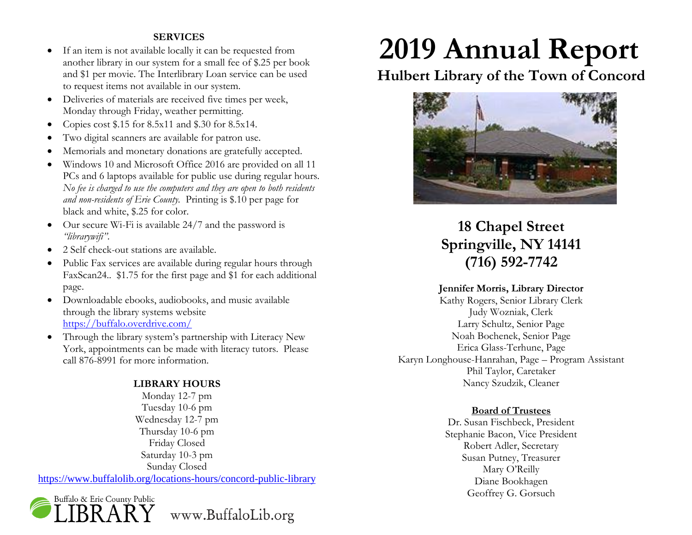# **SERVICES**

- If an item is not available locally it can be requested from another library in our system for a small fee of \$.25 per book and \$1 per movie. The Interlibrary Loan service can be used to request items not available in our system.
- Deliveries of materials are received five times per week, Monday through Friday, weather permitting.
- Copies cost  $$.15$  for 8.5x11 and  $$.30$  for 8.5x14.
- Two digital scanners are available for patron use.
- Memorials and monetary donations are gratefully accepted.
- Windows 10 and Microsoft Office 2016 are provided on all 11 PCs and 6 laptops available for public use during regular hours. *No fee is charged to use the computers and they are open to both residents and non-residents of Erie County.* Printing is \$.10 per page for black and white, \$.25 for color.
- $\bullet$  Our secure Wi-Fi is available 24/7 and the password is *"librarywifi"*.
- 2 Self check-out stations are available.
- Public Fax services are available during regular hours through FaxScan24.. \$1.75 for the first page and \$1 for each additional page.
- Downloadable ebooks, audiobooks, and music available through the library systems website <https://buffalo.overdrive.com/>
- Through the library system's partnership with Literacy New York, appointments can be made with literacy tutors. Please call 876-8991 for more information.

# **LIBRARY HOURS**

Monday 12-7 pm Tuesday 10-6 pm Wednesday 12-7 pm Thursday 10-6 pm Friday Closed Saturday 10-3 pm Sunday Closed <https://www.buffalolib.org/locations-hours/concord-public-library>



# **2019 Annual Report**

# **Hulbert Library of the Town of Concord**



# **18 Chapel Street Springville, NY 14141 (716) 592-7742**

# **Jennifer Morris, Library Director**

Kathy Rogers, Senior Library Clerk Judy Wozniak, Clerk Larry Schultz, Senior Page Noah Bochenek, Senior Page Erica Glass-Terhune, Page Karyn Longhouse-Hanrahan, Page – Program Assistant Phil Taylor, Caretaker Nancy Szudzik, Cleaner

# **Board of Trustees**

Dr. Susan Fischbeck, President Stephanie Bacon, Vice President Robert Adler, Secretary Susan Putney, Treasurer Mary O'Reilly Diane Bookhagen Geoffrey G. Gorsuch